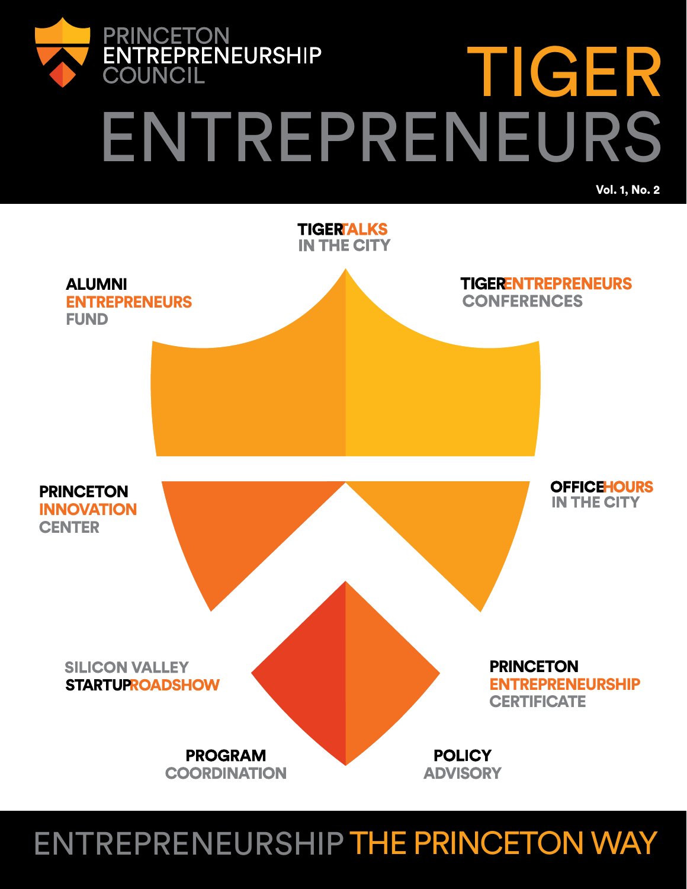

# ENTREPRENEURS

Vol. 1, No. 2

TIGER



### ENTREPRENEURSHIP THE PRINCETON WAY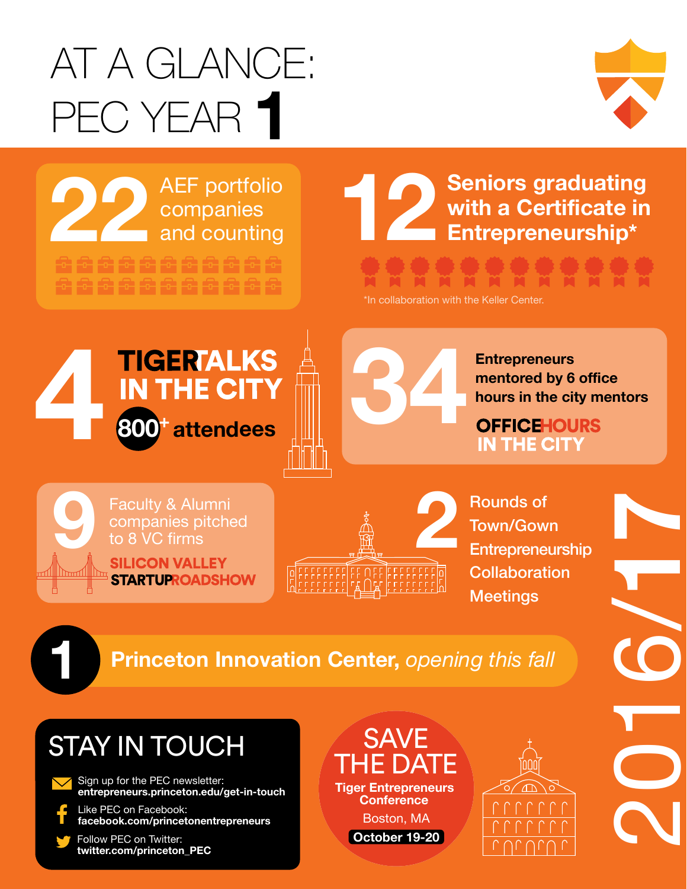# AT A GLANCE: PEC YEAR **1**



2016/**17**

**AEF portfolio**<br>companies<br>and counting companies

结药结核结核结核结核结核结

### AEF portfolio<br>
companies<br> **12 <b>Conting**<br> **12 Entrepreneurship\***<br> **12 Entrepreneurship\* with a Certificate in Entrepreneurship\***

\*In collaboration with the Keller Center.





**mentored by 6 office hours in the city mentors**

Faculty & Alumni<br>companies pitched **STARTUPROADSHOW** 



Rounds of Town/Gown **Entrepreneurship Collaboration Meetings** 

### **1 Princeton Innovation Center,** *opening this fall*

### STAY IN TOUCH

- Sign up for the PEC newsletter: **entrepreneurs.princeton.edu/get-in-touch**
- Like PEC on Facebook: **facebook.com/princetonentrepreneurs**
- Follow PEC on Twitter: **twitter.com/princeton\_PEC**

**SAVE** THE DATE **Tiger Entrepreneurs Conference** Boston, MA **October 19-20**

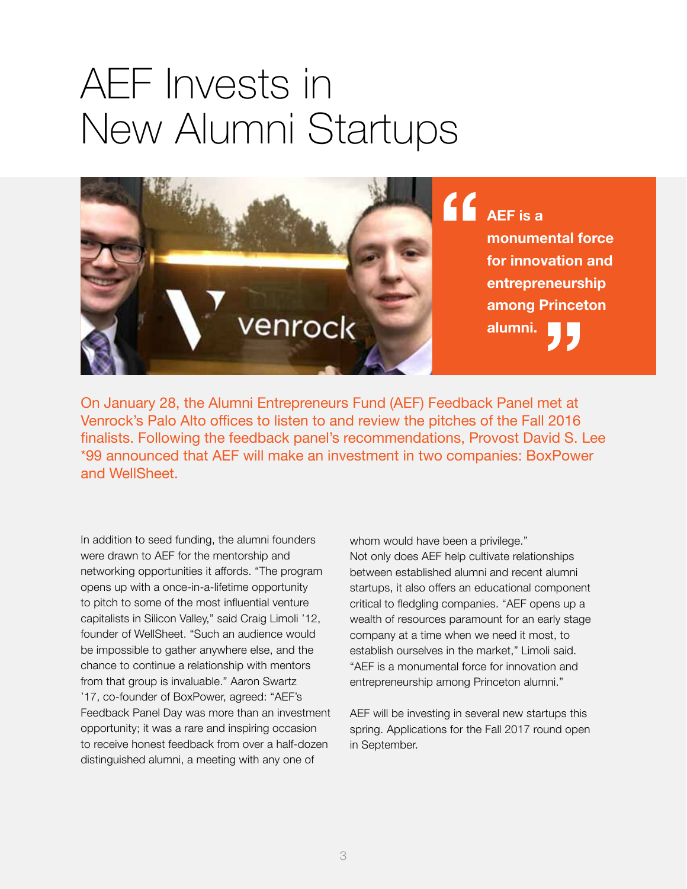## AEF Invests in New Alumni Startups



On January 28, the Alumni Entrepreneurs Fund (AEF) Feedback Panel met at Venrock's Palo Alto offices to listen to and review the pitches of the Fall 2016 finalists. Following the feedback panel's recommendations, Provost David S. Lee \*99 announced that AEF will make an investment in two companies: BoxPower and WellSheet.

In addition to seed funding, the alumni founders were drawn to AEF for the mentorship and networking opportunities it affords. "The program opens up with a once-in-a-lifetime opportunity to pitch to some of the most influential venture capitalists in Silicon Valley," said Craig Limoli '12, founder of WellSheet. "Such an audience would be impossible to gather anywhere else, and the chance to continue a relationship with mentors from that group is invaluable." Aaron Swartz '17, co-founder of BoxPower, agreed: "AEF's Feedback Panel Day was more than an investment opportunity; it was a rare and inspiring occasion to receive honest feedback from over a half-dozen distinguished alumni, a meeting with any one of

whom would have been a privilege." Not only does AEF help cultivate relationships between established alumni and recent alumni startups, it also offers an educational component critical to fledgling companies. "AEF opens up a wealth of resources paramount for an early stage company at a time when we need it most, to establish ourselves in the market," Limoli said. "AEF is a monumental force for innovation and entrepreneurship among Princeton alumni."

AEF will be investing in several new startups this spring. Applications for the Fall 2017 round open in September.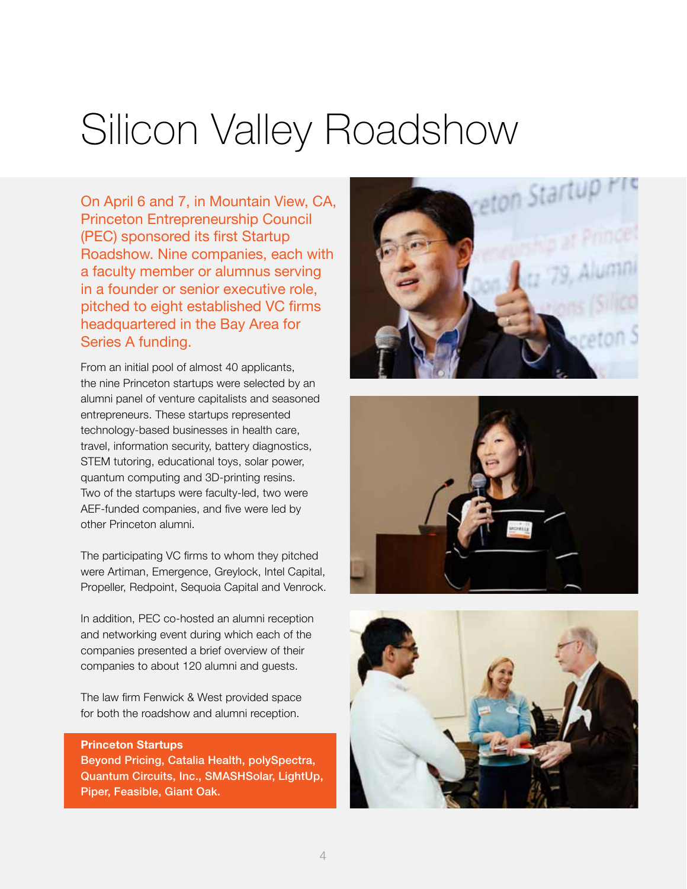## Silicon Valley Roadshow

On April 6 and 7, in Mountain View, CA, Princeton Entrepreneurship Council (PEC) sponsored its first Startup Roadshow. Nine companies, each with a faculty member or alumnus serving in a founder or senior executive role, pitched to eight established VC firms headquartered in the Bay Area for Series A funding.

From an initial pool of almost 40 applicants, the nine Princeton startups were selected by an alumni panel of venture capitalists and seasoned entrepreneurs. These startups represented technology-based businesses in health care, travel, information security, battery diagnostics, STEM tutoring, educational toys, solar power, quantum computing and 3D-printing resins. Two of the startups were faculty-led, two were AEF-funded companies, and five were led by other Princeton alumni.

The participating VC firms to whom they pitched were Artiman, Emergence, Greylock, Intel Capital, Propeller, Redpoint, Sequoia Capital and Venrock.

In addition, PEC co-hosted an alumni reception and networking event during which each of the companies presented a brief overview of their companies to about 120 alumni and guests.

The law firm Fenwick & West provided space for both the roadshow and alumni reception.

#### **Princeton Startups**

Beyond Pricing, Catalia Health, polySpectra, Quantum Circuits, Inc., SMASHSolar, LightUp, Piper, Feasible, Giant Oak.





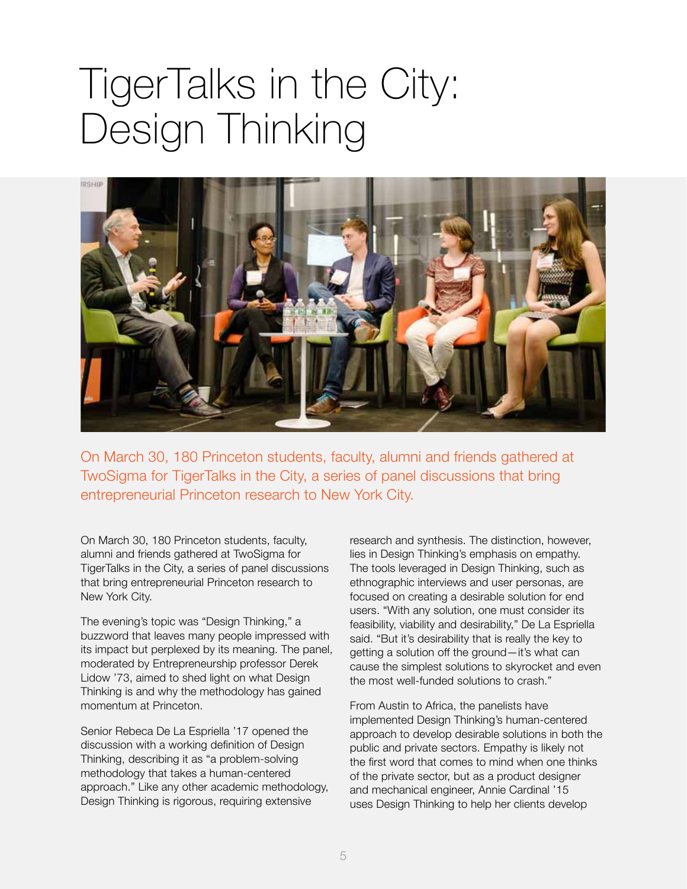### TigerTalks in the City: Design Thinking



On March 30, 180 Princeton students, faculty, alumni and friends gathered at TwoSigma for TigerTalks in the City, a series of panel discussions that bring entrepreneurial Princeton research to New York City.

On March 30, 180 Princeton students, faculty, alumni and friends gathered at TwoSigma for TigerTalks in the City, a series of panel discussions that bring entrepreneurial Princeton research to New York City.

The evening's topic was "Design Thinking," a buzzword that leaves many people impressed with its impact but perplexed by its meaning. The panel, moderated by Entrepreneurship professor Derek Lidow '73, aimed to shed light on what Design Thinking is and why the methodology has gained momentum at Princeton.

Senior Rebeca De La Espriella '17 opened the discussion with a working definition of Design Thinking, describing it as "a problem-solving methodology that takes a human-centered approach." Like any other academic methodology, Design Thinking is rigorous, requiring extensive

research and synthesis. The distinction, however, lies in Design Thinking's emphasis on empathy. The tools leveraged in Design Thinking, such as ethnographic interviews and user personas, are focused on creating a desirable solution for end users. "With any solution, one must consider its feasibility, viability and desirability," De La Espriella said. "But it's desirability that is really the key to getting a solution off the ground—it's what can cause the simplest solutions to skyrocket and even the most well-funded solutions to crash."

From Austin to Africa, the panelists have implemented Design Thinking's human-centered approach to develop desirable solutions in both the public and private sectors. Empathy is likely not the first word that comes to mind when one thinks of the private sector, but as a product designer and mechanical engineer, Annie Cardinal '15 uses Design Thinking to help her clients develop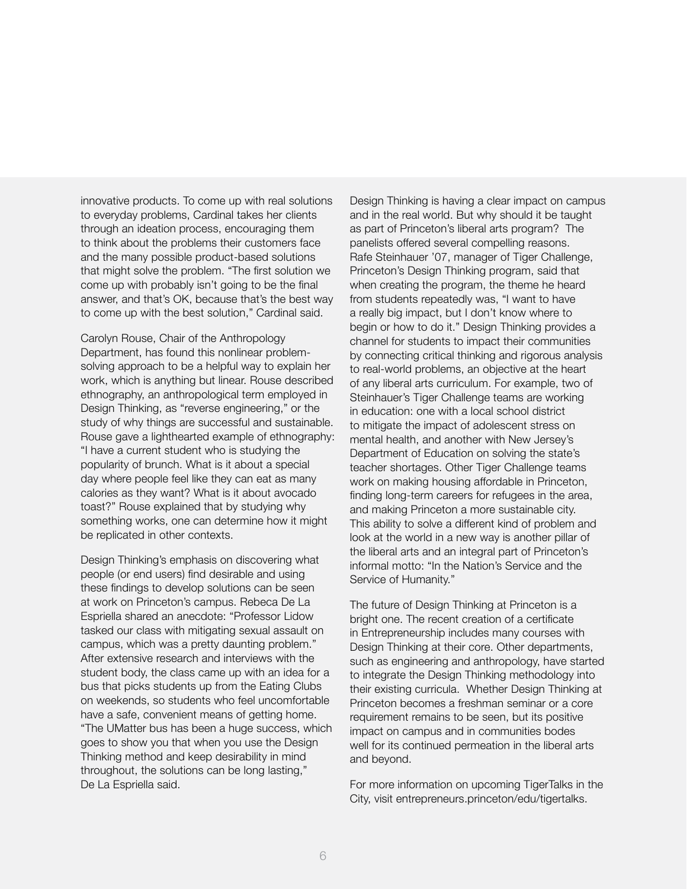innovative products. To come up with real solutions to everyday problems, Cardinal takes her clients through an ideation process, encouraging them to think about the problems their customers face and the many possible product-based solutions that might solve the problem. "The first solution we come up with probably isn't going to be the final answer, and that's OK, because that's the best way to come up with the best solution," Cardinal said.

Carolyn Rouse, Chair of the Anthropology Department, has found this nonlinear problemsolving approach to be a helpful way to explain her work, which is anything but linear. Rouse described ethnography, an anthropological term employed in Design Thinking, as "reverse engineering," or the study of why things are successful and sustainable. Rouse gave a lighthearted example of ethnography: "I have a current student who is studying the popularity of brunch. What is it about a special day where people feel like they can eat as many calories as they want? What is it about avocado toast?" Rouse explained that by studying why something works, one can determine how it might be replicated in other contexts.

Design Thinking's emphasis on discovering what people (or end users) find desirable and using these findings to develop solutions can be seen at work on Princeton's campus. Rebeca De La Espriella shared an anecdote: "Professor Lidow tasked our class with mitigating sexual assault on campus, which was a pretty daunting problem." After extensive research and interviews with the student body, the class came up with an idea for a bus that picks students up from the Eating Clubs on weekends, so students who feel uncomfortable have a safe, convenient means of getting home. "The UMatter bus has been a huge success, which goes to show you that when you use the Design Thinking method and keep desirability in mind throughout, the solutions can be long lasting," De La Espriella said.

Design Thinking is having a clear impact on campus and in the real world. But why should it be taught as part of Princeton's liberal arts program? The panelists offered several compelling reasons. Rafe Steinhauer '07, manager of Tiger Challenge, Princeton's Design Thinking program, said that when creating the program, the theme he heard from students repeatedly was, "I want to have a really big impact, but I don't know where to begin or how to do it." Design Thinking provides a channel for students to impact their communities by connecting critical thinking and rigorous analysis to real-world problems, an objective at the heart of any liberal arts curriculum. For example, two of Steinhauer's Tiger Challenge teams are working in education: one with a local school district to mitigate the impact of adolescent stress on mental health, and another with New Jersey's Department of Education on solving the state's teacher shortages. Other Tiger Challenge teams work on making housing affordable in Princeton, finding long-term careers for refugees in the area, and making Princeton a more sustainable city. This ability to solve a different kind of problem and look at the world in a new way is another pillar of the liberal arts and an integral part of Princeton's informal motto: "In the Nation's Service and the Service of Humanity."

The future of Design Thinking at Princeton is a bright one. The recent creation of a certificate in Entrepreneurship includes many courses with Design Thinking at their core. Other departments, such as engineering and anthropology, have started to integrate the Design Thinking methodology into their existing curricula. Whether Design Thinking at Princeton becomes a freshman seminar or a core requirement remains to be seen, but its positive impact on campus and in communities bodes well for its continued permeation in the liberal arts and beyond.

For more information on upcoming TigerTalks in the City, visit entrepreneurs.princeton/edu/tigertalks.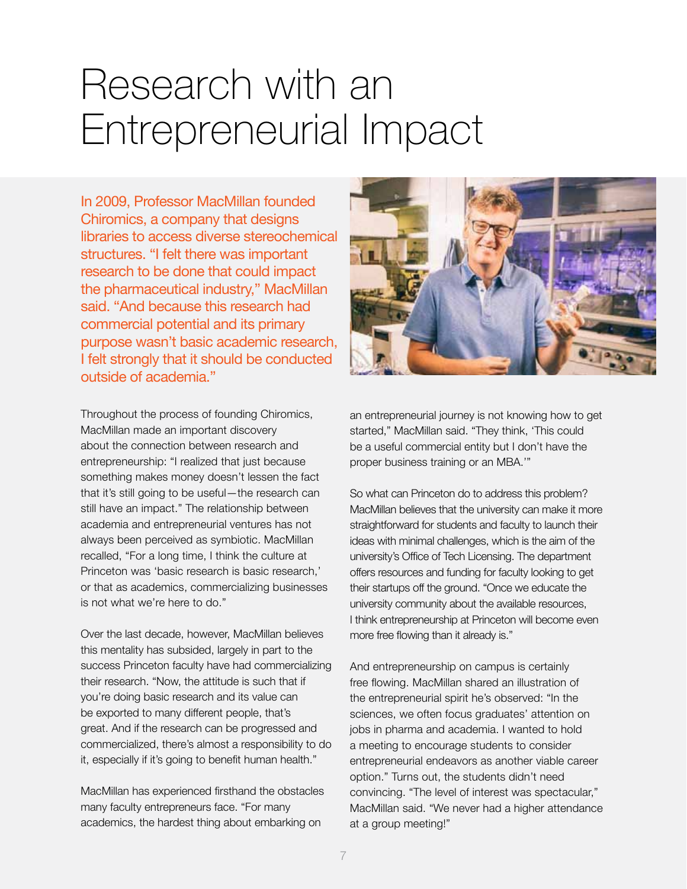### Research with an Entrepreneurial Impact

In 2009, Professor MacMillan founded Chiromics, a company that designs libraries to access diverse stereochemical structures. "I felt there was important research to be done that could impact the pharmaceutical industry," MacMillan said. "And because this research had commercial potential and its primary purpose wasn't basic academic research, I felt strongly that it should be conducted outside of academia."

Throughout the process of founding Chiromics, MacMillan made an important discovery about the connection between research and entrepreneurship: "I realized that just because something makes money doesn't lessen the fact that it's still going to be useful—the research can still have an impact." The relationship between academia and entrepreneurial ventures has not always been perceived as symbiotic. MacMillan recalled, "For a long time, I think the culture at Princeton was 'basic research is basic research,' or that as academics, commercializing businesses is not what we're here to do."

Over the last decade, however, MacMillan believes this mentality has subsided, largely in part to the success Princeton faculty have had commercializing their research. "Now, the attitude is such that if you're doing basic research and its value can be exported to many different people, that's great. And if the research can be progressed and commercialized, there's almost a responsibility to do it, especially if it's going to benefit human health."

MacMillan has experienced firsthand the obstacles many faculty entrepreneurs face. "For many academics, the hardest thing about embarking on



an entrepreneurial journey is not knowing how to get started," MacMillan said. "They think, 'This could be a useful commercial entity but I don't have the proper business training or an MBA.'"

So what can Princeton do to address this problem? MacMillan believes that the university can make it more straightforward for students and faculty to launch their ideas with minimal challenges, which is the aim of the university's Office of Tech Licensing. The department offers resources and funding for faculty looking to get their startups off the ground. "Once we educate the university community about the available resources, I think entrepreneurship at Princeton will become even more free flowing than it already is."

And entrepreneurship on campus is certainly free flowing. MacMillan shared an illustration of the entrepreneurial spirit he's observed: "In the sciences, we often focus graduates' attention on jobs in pharma and academia. I wanted to hold a meeting to encourage students to consider entrepreneurial endeavors as another viable career option." Turns out, the students didn't need convincing. "The level of interest was spectacular," MacMillan said. "We never had a higher attendance at a group meeting!"